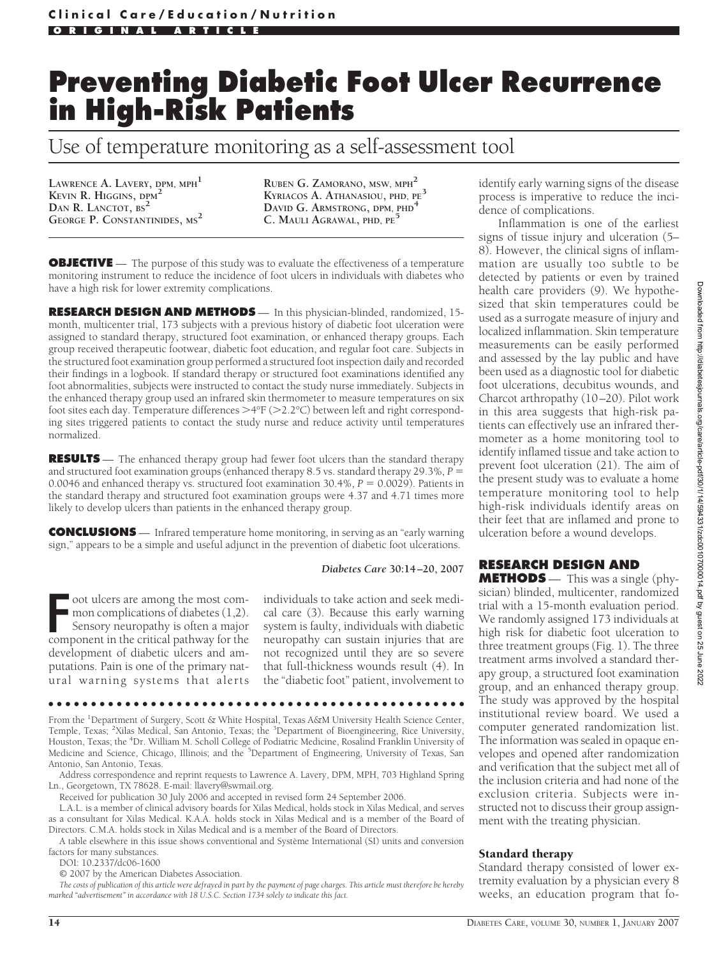# **Preventing Diabetic Foot Ulcer Recurrence in High-Risk Patients**

Use of temperature monitoring as a self-assessment tool

**LAWRENCE A. LAVERY, DPM, MPH<sup>1</sup> KEVIN R. HIGGINS, DPM<sup>2</sup> DAN R. LANCTOT, BS<sup>2</sup> GEORGE P. CONSTANTINIDES, MS<sup>2</sup>** **RUBEN G. ZAMORANO, MSW, MPH<sup>2</sup> KYRIACOS A. ATHANASIOU, PHD, PE<sup>3</sup> DAVID G. ARMSTRONG, DPM, PHD<sup>4</sup> C. MAULI AGRAWAL, PHD, PE<sup>5</sup>** 

**OBJECTIVE** — The purpose of this study was to evaluate the effectiveness of a temperature monitoring instrument to reduce the incidence of foot ulcers in individuals with diabetes who have a high risk for lower extremity complications.

**RESEARCH DESIGN AND METHODS** — In this physician-blinded, randomized, 15 month, multicenter trial, 173 subjects with a previous history of diabetic foot ulceration were assigned to standard therapy, structured foot examination, or enhanced therapy groups. Each group received therapeutic footwear, diabetic foot education, and regular foot care. Subjects in the structured foot examination group performed a structured foot inspection daily and recorded their findings in a logbook. If standard therapy or structured foot examinations identified any foot abnormalities, subjects were instructed to contact the study nurse immediately. Subjects in the enhanced therapy group used an infrared skin thermometer to measure temperatures on six foot sites each day. Temperature differences >4°F (>2.2°C) between left and right corresponding sites triggered patients to contact the study nurse and reduce activity until temperatures normalized.

**RESULTS** — The enhanced therapy group had fewer foot ulcers than the standard therapy and structured foot examination groups (enhanced therapy 8.5 vs. standard therapy 29.3%, *P* - 0.0046 and enhanced therapy vs. structured foot examination 30.4%,  $P = 0.0029$ ). Patients in the standard therapy and structured foot examination groups were 4.37 and 4.71 times more likely to develop ulcers than patients in the enhanced therapy group.

**CONCLUSIONS** — Infrared temperature home monitoring, in serving as an "early warning sign," appears to be a simple and useful adjunct in the prevention of diabetic foot ulcerations.

#### *Diabetes Care* **30:14 –20, 2007**

FR oot ulcers are among the most com-<br>
mon complications of diabetes (1,2).<br>
Sensory neuropathy is often a major<br>
component in the critical pathway for the oot ulcers are among the most common complications of diabetes  $(1,2)$ . Sensory neuropathy is often a major development of diabetic ulcers and amputations. Pain is one of the primary natural warning systems that alerts

individuals to take action and seek medical care (3). Because this early warning system is faulty, individuals with diabetic neuropathy can sustain injuries that are not recognized until they are so severe that full-thickness wounds result (4). In the "diabetic foot" patient, involvement to

●●●●●●●●●●●●●●●●●●●●●●●●●●●●●●●●●●●●●●●●●●●●●●●●●

From the <sup>1</sup>Department of Surgery, Scott & White Hospital, Texas A&M University Health Science Center, Temple, Texas; <sup>2</sup>Xilas Medical, San Antonio, Texas; the <sup>3</sup>Department of Bioengineering, Rice University, Houston, Texas; the <sup>4</sup>Dr. William M. Scholl College of Podiatric Medicine, Rosalind Franklin University of Medicine and Science, Chicago, Illinois; and the <sup>5</sup>Department of Engineering, University of Texas, San Antonio, San Antonio, Texas.

Address correspondence and reprint requests to Lawrence A. Lavery, DPM, MPH, 703 Highland Spring Ln., Georgetown, TX 78628. E-mail: llavery@swmail.org.

Received for publication 30 July 2006 and accepted in revised form 24 September 2006.

L.A.L. is a member of clinical advisory boards for Xilas Medical, holds stock in Xilas Medical, and serves as a consultant for Xilas Medical. K.A.A. holds stock in Xilas Medical and is a member of the Board of Directors. C.M.A. holds stock in Xilas Medical and is a member of the Board of Directors.

A table elsewhere in this issue shows conventional and Système International (SI) units and conversion factors for many substances.

DOI: 10.2337/dc06-1600

© 2007 by the American Diabetes Association.

*The costs of publication of this article were defrayed in part by the payment of page charges. This article must therefore be hereby marked "advertisement" in accordance with 18 U.S.C. Section 1734 solely to indicate this fact.*

identify early warning signs of the disease process is imperative to reduce the incidence of complications.

Inflammation is one of the earliest signs of tissue injury and ulceration (5– 8). However, the clinical signs of inflammation are usually too subtle to be detected by patients or even by trained health care providers (9). We hypothesized that skin temperatures could be used as a surrogate measure of injury and localized inflammation. Skin temperature measurements can be easily performed and assessed by the lay public and have been used as a diagnostic tool for diabetic foot ulcerations, decubitus wounds, and Charcot arthropathy (10–20). Pilot work in this area suggests that high-risk patients can effectively use an infrared thermometer as a home monitoring tool to identify inflamed tissue and take action to prevent foot ulceration (21). The aim of the present study was to evaluate a home temperature monitoring tool to help high-risk individuals identify areas on their feet that are inflamed and prone to ulceration before a wound develops.

# **RESEARCH DESIGN AND**

**METHODS** — This was a single (physician) blinded, multicenter, randomized trial with a 15-month evaluation period. We randomly assigned 173 individuals at high risk for diabetic foot ulceration to three treatment groups (Fig. 1). The three treatment arms involved a standard therapy group, a structured foot examination group, and an enhanced therapy group. The study was approved by the hospital institutional review board. We used a computer generated randomization list. The information was sealed in opaque envelopes and opened after randomization and verification that the subject met all of the inclusion criteria and had none of the exclusion criteria. Subjects were instructed not to discuss their group assignment with the treating physician.

#### Standard therapy

Standard therapy consisted of lower extremity evaluation by a physician every 8 weeks, an education program that fo-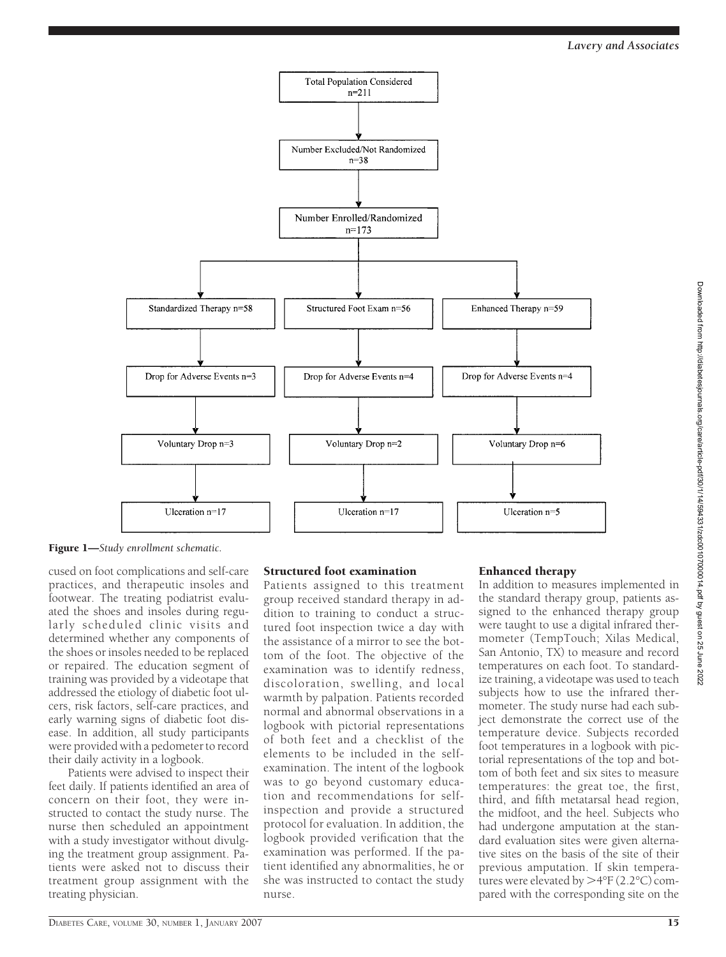

Figure 1—*Study enrollment schematic.*

cused on foot complications and self-care practices, and therapeutic insoles and footwear. The treating podiatrist evaluated the shoes and insoles during regularly scheduled clinic visits and determined whether any components of the shoes or insoles needed to be replaced or repaired. The education segment of training was provided by a videotape that addressed the etiology of diabetic foot ulcers, risk factors, self-care practices, and early warning signs of diabetic foot disease. In addition, all study participants were provided with a pedometer to record their daily activity in a logbook.

Patients were advised to inspect their feet daily. If patients identified an area of concern on their foot, they were instructed to contact the study nurse. The nurse then scheduled an appointment with a study investigator without divulging the treatment group assignment. Patients were asked not to discuss their treatment group assignment with the treating physician.

#### Structured foot examination

Patients assigned to this treatment group received standard therapy in addition to training to conduct a structured foot inspection twice a day with the assistance of a mirror to see the bottom of the foot. The objective of the examination was to identify redness, discoloration, swelling, and local warmth by palpation. Patients recorded normal and abnormal observations in a logbook with pictorial representations of both feet and a checklist of the elements to be included in the selfexamination. The intent of the logbook was to go beyond customary education and recommendations for selfinspection and provide a structured protocol for evaluation. In addition, the logbook provided verification that the examination was performed. If the patient identified any abnormalities, he or she was instructed to contact the study nurse.

#### Enhanced therapy

In addition to measures implemented in the standard therapy group, patients assigned to the enhanced therapy group were taught to use a digital infrared thermometer (TempTouch; Xilas Medical, San Antonio, TX) to measure and record temperatures on each foot. To standardize training, a videotape was used to teach subjects how to use the infrared thermometer. The study nurse had each subject demonstrate the correct use of the temperature device. Subjects recorded foot temperatures in a logbook with pictorial representations of the top and bottom of both feet and six sites to measure temperatures: the great toe, the first, third, and fifth metatarsal head region, the midfoot, and the heel. Subjects who had undergone amputation at the standard evaluation sites were given alternative sites on the basis of the site of their previous amputation. If skin temperatures were elevated by  $>4^{\circ}F(2.2^{\circ}C)$  compared with the corresponding site on the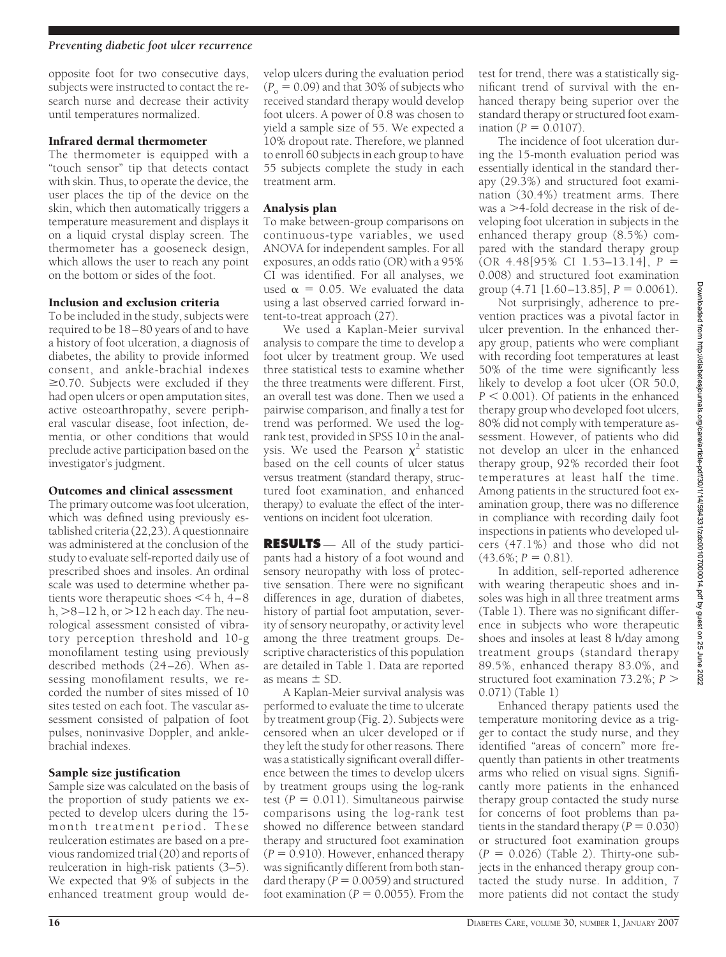#### *Preventing diabetic foot ulcer recurrence*

opposite foot for two consecutive days, subjects were instructed to contact the research nurse and decrease their activity until temperatures normalized.

### Infrared dermal thermometer

The thermometer is equipped with a "touch sensor" tip that detects contact with skin. Thus, to operate the device, the user places the tip of the device on the skin, which then automatically triggers a temperature measurement and displays it on a liquid crystal display screen. The thermometer has a gooseneck design, which allows the user to reach any point on the bottom or sides of the foot.

#### Inclusion and exclusion criteria

To be included in the study, subjects were required to be 18–80 years of and to have a history of foot ulceration, a diagnosis of diabetes, the ability to provide informed consent, and ankle-brachial indexes  $\geq$ 0.70. Subjects were excluded if they had open ulcers or open amputation sites, active osteoarthropathy, severe peripheral vascular disease, foot infection, dementia, or other conditions that would preclude active participation based on the investigator's judgment.

#### Outcomes and clinical assessment

The primary outcome was foot ulceration, which was defined using previously established criteria (22,23). A questionnaire was administered at the conclusion of the study to evaluate self-reported daily use of prescribed shoes and insoles. An ordinal scale was used to determine whether patients wore therapeutic shoes  $\leq 4$  h,  $4-8$ h,  $>8-12$  h, or  $>12$  h each day. The neurological assessment consisted of vibratory perception threshold and 10-g monofilament testing using previously described methods (24–26). When assessing monofilament results, we recorded the number of sites missed of 10 sites tested on each foot. The vascular assessment consisted of palpation of foot pulses, noninvasive Doppler, and anklebrachial indexes.

## Sample size justification

Sample size was calculated on the basis of the proportion of study patients we expected to develop ulcers during the 15 month treatment period. These reulceration estimates are based on a previous randomized trial (20) and reports of reulceration in high-risk patients (3–5). We expected that 9% of subjects in the enhanced treatment group would de-

velop ulcers during the evaluation period  $(P<sub>o</sub> = 0.09)$  and that 30% of subjects who received standard therapy would develop foot ulcers. A power of 0.8 was chosen to yield a sample size of 55. We expected a 10% dropout rate. Therefore, we planned to enroll 60 subjects in each group to have 55 subjects complete the study in each treatment arm.

# Analysis plan

To make between-group comparisons on continuous-type variables, we used ANOVA for independent samples. For all exposures, an odds ratio (OR) with a 95% CI was identified. For all analyses, we used  $\alpha = 0.05$ . We evaluated the data using a last observed carried forward intent-to-treat approach (27).

We used a Kaplan-Meier survival analysis to compare the time to develop a foot ulcer by treatment group. We used three statistical tests to examine whether the three treatments were different. First, an overall test was done. Then we used a pairwise comparison, and finally a test for trend was performed. We used the logrank test, provided in SPSS 10 in the analysis. We used the Pearson  $\chi^2$  statistic based on the cell counts of ulcer status versus treatment (standard therapy, structured foot examination, and enhanced therapy) to evaluate the effect of the interventions on incident foot ulceration.

**RESULTS** — All of the study participants had a history of a foot wound and sensory neuropathy with loss of protective sensation. There were no significant differences in age, duration of diabetes, history of partial foot amputation, severity of sensory neuropathy, or activity level among the three treatment groups. Descriptive characteristics of this population are detailed in Table 1. Data are reported as means  $\pm$  SD.

A Kaplan-Meier survival analysis was performed to evaluate the time to ulcerate by treatment group (Fig. 2). Subjects were censored when an ulcer developed or if they left the study for other reasons*.* There was a statistically significant overall difference between the times to develop ulcers by treatment groups using the log-rank test  $(P = 0.011)$ . Simultaneous pairwise comparisons using the log-rank test showed no difference between standard therapy and structured foot examination  $(P = 0.910)$ . However, enhanced therapy was significantly different from both standard therapy  $(P = 0.0059)$  and structured foot examination ( $P = 0.0055$ ). From the

test for trend, there was a statistically significant trend of survival with the enhanced therapy being superior over the standard therapy or structured foot examination  $(P = 0.0107)$ .

The incidence of foot ulceration during the 15-month evaluation period was essentially identical in the standard therapy (29.3%) and structured foot examination (30.4%) treatment arms. There was a  $>$ 4-fold decrease in the risk of developing foot ulceration in subjects in the enhanced therapy group (8.5%) compared with the standard therapy group (OR 4.48[95% CI 1.53–13.14], *P* - 0.008) and structured foot examination  $group (4.71 [1.60–13.85], P = 0.0061).$ 

Not surprisingly, adherence to prevention practices was a pivotal factor in ulcer prevention. In the enhanced therapy group, patients who were compliant with recording foot temperatures at least 50% of the time were significantly less likely to develop a foot ulcer (OR 50.0,  $P < 0.001$ ). Of patients in the enhanced therapy group who developed foot ulcers, 80% did not comply with temperature assessment. However, of patients who did not develop an ulcer in the enhanced therapy group, 92% recorded their foot temperatures at least half the time. Among patients in the structured foot examination group, there was no difference in compliance with recording daily foot inspections in patients who developed ulcers (47.1%) and those who did not  $(43.6\%; P = 0.81).$ 

In addition, self-reported adherence with wearing therapeutic shoes and insoles was high in all three treatment arms (Table 1). There was no significant difference in subjects who wore therapeutic shoes and insoles at least 8 h/day among treatment groups (standard therapy 89.5%, enhanced therapy 83.0%, and structured foot examination 73.2%; *P* 0.071) (Table 1)

Enhanced therapy patients used the temperature monitoring device as a trigger to contact the study nurse, and they identified "areas of concern" more frequently than patients in other treatments arms who relied on visual signs. Significantly more patients in the enhanced therapy group contacted the study nurse for concerns of foot problems than patients in the standard therapy  $(P = 0.030)$ or structured foot examination groups  $(P = 0.026)$  (Table 2). Thirty-one subjects in the enhanced therapy group contacted the study nurse. In addition, 7 more patients did not contact the study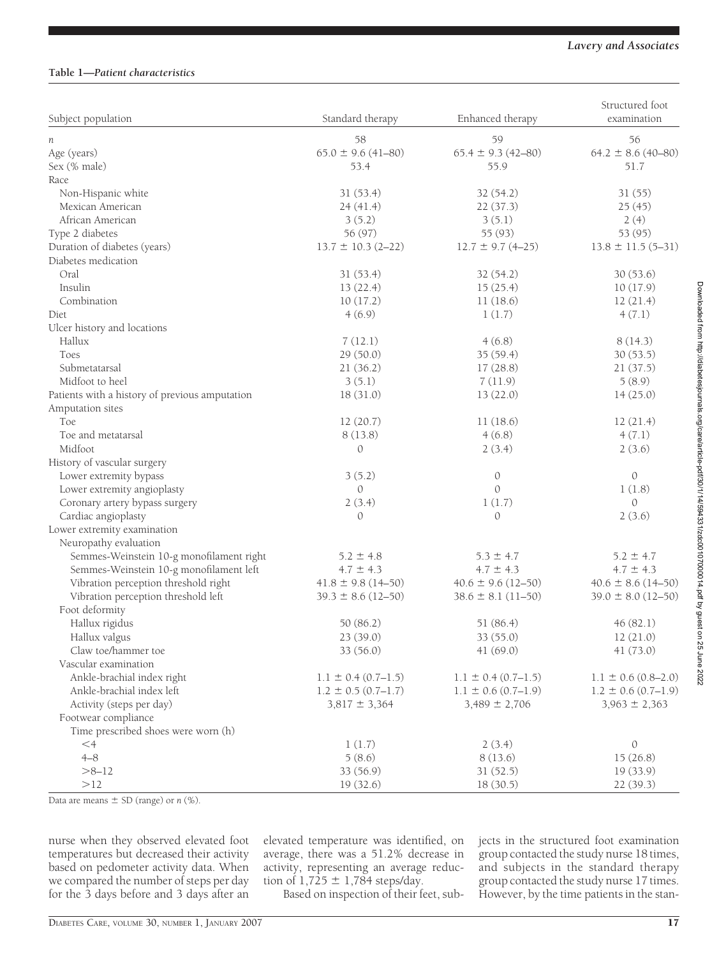#### *Lavery and Associates*

#### **Table 1—***Patient characteristics*

| Subject population                             | Standard therapy          | Enhanced therapy         | Structured foot<br>examination |
|------------------------------------------------|---------------------------|--------------------------|--------------------------------|
| п                                              | 58                        | 59                       | 56                             |
| Age (years)                                    | $65.0 \pm 9.6 (41 - 80)$  | $65.4 \pm 9.3 (42 - 80)$ | $64.2 \pm 8.6$ (40-80)         |
| Sex (% male)                                   | 53.4                      | 55.9                     | 51.7                           |
| Race                                           |                           |                          |                                |
| Non-Hispanic white                             | 31(53.4)                  | 32 (54.2)                | 31(55)                         |
| Mexican American                               | 24(41.4)                  | 22(37.3)                 | 25(45)                         |
| African American                               | 3(5.2)                    | 3(5.1)                   | 2(4)                           |
| Type 2 diabetes                                | 56 (97)                   | 55 (93)                  | 53 (95)                        |
| Duration of diabetes (years)                   | $13.7 \pm 10.3$ (2-22)    | $12.7 \pm 9.7 (4 - 25)$  | $13.8 \pm 11.5(5-31)$          |
| Diabetes medication                            |                           |                          |                                |
| Oral                                           | 31(53.4)                  | 32 (54.2)                | 30(53.6)                       |
| Insulin                                        | 13(22.4)                  | 15(25.4)                 | 10(17.9)                       |
| Combination                                    | 10(17.2)                  | 11(18.6)                 | 12(21.4)                       |
| Diet                                           | 4(6.9)                    | 1(1.7)                   | 4(7.1)                         |
| Ulcer history and locations                    |                           |                          |                                |
| Hallux                                         | 7(12.1)                   | 4(6.8)                   | 8(14.3)                        |
| Toes                                           | 29(50.0)                  | 35(59.4)                 | 30(53.5)                       |
| Submetatarsal                                  | 21(36.2)                  | 17(28.8)                 | 21(37.5)                       |
| Midfoot to heel                                | 3(5.1)                    | 7(11.9)                  | 5(8.9)                         |
| Patients with a history of previous amputation | 18(31.0)                  | 13(22.0)                 | 14(25.0)                       |
| Amputation sites                               |                           |                          |                                |
| Toe                                            | 12(20.7)                  | 11(18.6)                 | 12(21.4)                       |
| Toe and metatarsal                             | 8(13.8)                   | 4(6.8)                   | 4(7.1)                         |
| Midfoot                                        | $\mathcal{O}$             | 2(3.4)                   | 2(3.6)                         |
| History of vascular surgery                    |                           |                          |                                |
| Lower extremity bypass                         | 3(5.2)                    | $\theta$                 | $\mathcal{O}$                  |
| Lower extremity angioplasty                    | $\mathcal{O}$             | $\mathcal{O}$            | 1(1.8)                         |
| Coronary artery bypass surgery                 | 2(3.4)                    | 1(1.7)                   | $\mathcal{O}$                  |
| Cardiac angioplasty                            | $\mathcal{O}$             | $\mathcal{O}$            | 2(3.6)                         |
| Lower extremity examination                    |                           |                          |                                |
| Neuropathy evaluation                          |                           |                          |                                |
| Semmes-Weinstein 10-g monofilament right       | $5.2 \pm 4.8$             | $5.3 \pm 4.7$            | $5.2 \pm 4.7$                  |
| Semmes-Weinstein 10-g monofilament left        | $4.7 \pm 4.3$             | $4.7 \pm 4.3$            | $4.7 \pm 4.3$                  |
| Vibration perception threshold right           | $41.8 \pm 9.8$ (14-50)    | $40.6 \pm 9.6$ (12-50)   | $40.6 \pm 8.6$ (14-50)         |
| Vibration perception threshold left            | $39.3 \pm 8.6$ (12-50)    | $38.6 \pm 8.1$ (11-50)   | $39.0 \pm 8.0$ (12-50)         |
| Foot deformity                                 |                           |                          |                                |
| Hallux rigidus                                 | 50 (86.2)                 | 51 (86.4)                | 46(82.1)                       |
| Hallux valgus                                  | 23(39.0)                  | 33 (55.0)                | 12(21.0)                       |
| Claw toe/hammer toe                            | 33 (56.0)                 | 41(69.0)                 | 41 (73.0)                      |
| Vascular examination                           |                           |                          |                                |
| Ankle-brachial index right                     | $1.1 \pm 0.4 (0.7 - 1.5)$ | $1.1 \pm 0.4$ (0.7-1.5)  | $1.1 \pm 0.6$ (0.8-2.0)        |
| Ankle-brachial index left                      | $1.2 \pm 0.5$ (0.7-1.7)   | $1.1 \pm 0.6$ (0.7-1.9)  | $1.2 \pm 0.6 (0.7 - 1.9)$      |
| Activity (steps per day)                       | $3,817 \pm 3,364$         | $3,489 \pm 2,706$        | $3,963 \pm 2,363$              |
| Footwear compliance                            |                           |                          |                                |
| Time prescribed shoes were worn (h)            |                           |                          |                                |
| $<$ 4                                          | 1(1.7)                    | 2(3.4)                   | $\mathcal{O}$                  |
| $4 - 8$                                        | 5(8.6)                    | 8(13.6)                  | 15(26.8)                       |
| $>8 - 12$                                      | 33(56.9)                  | 31(52.5)                 | 19(33.9)                       |
| >12                                            | 19(32.6)                  | 18 (30.5)                | 22(39.3)                       |

Data are means  $\pm$  SD (range) or *n* (%).

nurse when they observed elevated foot temperatures but decreased their activity based on pedometer activity data. When we compared the number of steps per day for the 3 days before and 3 days after an

elevated temperature was identified, on average, there was a 51.2% decrease in activity, representing an average reduction of  $1,725 \pm 1,784$  steps/day.

Based on inspection of their feet, sub-

jects in the structured foot examination group contacted the study nurse 18 times, and subjects in the standard therapy group contacted the study nurse 17 times. However, by the time patients in the stan-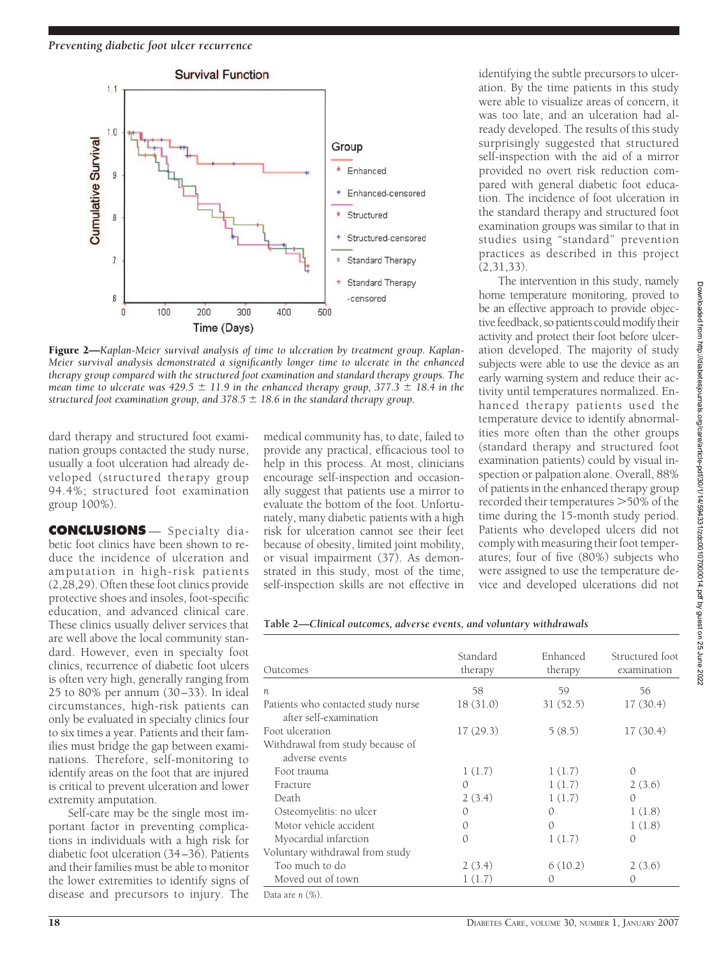*Preventing diabetic foot ulcer recurrence*



Figure 2—*Kaplan-Meier survival analysis of time to ulceration by treatment group. Kaplan-Meier survival analysis demonstrated a significantly longer time to ulcerate in the enhanced therapy group compared with the structured foot examination and standard therapy groups. The mean time to ulcerate was 429.5*  $\pm$  11.9 in the enhanced therapy group, 377.3  $\pm$  18.4 in the *structured foot examination group, and 378.5*  $\pm$  18.6 in the standard therapy group.

dard therapy and structured foot examination groups contacted the study nurse, usually a foot ulceration had already developed (structured therapy group 94.4%; structured foot examination group 100%).

**CONCLUSIONS** — Specialty diabetic foot clinics have been shown to reduce the incidence of ulceration and amputation in high-risk patients (2,28,29). Often these foot clinics provide protective shoes and insoles, foot-specific education, and advanced clinical care. These clinics usually deliver services that are well above the local community standard. However, even in specialty foot clinics, recurrence of diabetic foot ulcers is often very high, generally ranging from 25 to 80% per annum (30–33). In ideal circumstances, high-risk patients can only be evaluated in specialty clinics four to six times a year. Patients and their families must bridge the gap between examinations. Therefore, self-monitoring to identify areas on the foot that are injured is critical to prevent ulceration and lower extremity amputation.

Self-care may be the single most important factor in preventing complications in individuals with a high risk for diabetic foot ulceration (34–36). Patients and their families must be able to monitor the lower extremities to identify signs of disease and precursors to injury. The

medical community has, to date, failed to provide any practical, efficacious tool to help in this process. At most, clinicians encourage self-inspection and occasionally suggest that patients use a mirror to evaluate the bottom of the foot. Unfortunately, many diabetic patients with a high risk for ulceration cannot see their feet because of obesity, limited joint mobility, or visual impairment (37). As demonstrated in this study, most of the time, self-inspection skills are not effective in

identifying the subtle precursors to ulceration. By the time patients in this study were able to visualize areas of concern, it was too late, and an ulceration had already developed. The results of this study surprisingly suggested that structured self-inspection with the aid of a mirror provided no overt risk reduction compared with general diabetic foot education. The incidence of foot ulceration in the standard therapy and structured foot examination groups was similar to that in studies using "standard" prevention practices as described in this project (2,31,33).

The intervention in this study, namely home temperature monitoring, proved to be an effective approach to provide objective feedback, so patients could modify their activity and protect their foot before ulceration developed. The majority of study subjects were able to use the device as an early warning system and reduce their activity until temperatures normalized. Enhanced therapy patients used the temperature device to identify abnormalities more often than the other groups (standard therapy and structured foot examination patients) could by visual inspection or palpation alone. Overall, 88% of patients in the enhanced therapy group recorded their temperatures >50% of the time during the 15-month study period. Patients who developed ulcers did not comply with measuring their foot temperatures; four of five (80%) subjects who were assigned to use the temperature device and developed ulcerations did not

**Table 2—***Clinical outcomes, adverse events, and voluntary withdrawals*

| Outcomes                                                     | Standard<br>therapy | Enhanced<br>therapy | Structured foot<br>examination |
|--------------------------------------------------------------|---------------------|---------------------|--------------------------------|
| n                                                            | 58                  | 59                  | 56                             |
| Patients who contacted study nurse<br>after self-examination | 18(31.0)            | 31(52.5)            | 17(30.4)                       |
| Foot ulceration                                              | 17(29.3)            | 5(8.5)              | 17(30.4)                       |
| Withdrawal from study because of                             |                     |                     |                                |
| adverse events                                               |                     |                     |                                |
| Foot trauma                                                  | 1(1.7)              | 1(1.7)              | $\Omega$                       |
| <b>Fracture</b>                                              | $\Omega$            | 1(1.7)              | 2(3.6)                         |
| Death                                                        | 2(3.4)              | 1(1.7)              | $\Omega$                       |
| Osteomyelitis: no ulcer                                      | 0                   | $\left( \right)$    | 1(1.8)                         |
| Motor vehicle accident                                       | $\Omega$            | $\Omega$            | 1(1.8)                         |
| Myocardial infarction                                        | $\Omega$            | 1(1.7)              | $\Omega$                       |
| Voluntary withdrawal from study                              |                     |                     |                                |
| Too much to do                                               | 2(3.4)              | 6(10.2)             | 2(3.6)                         |
| Moved out of town                                            | 1(1.7)              | 0                   | $\Omega$                       |
| Data are $n$ $(\%)$ .                                        |                     |                     |                                |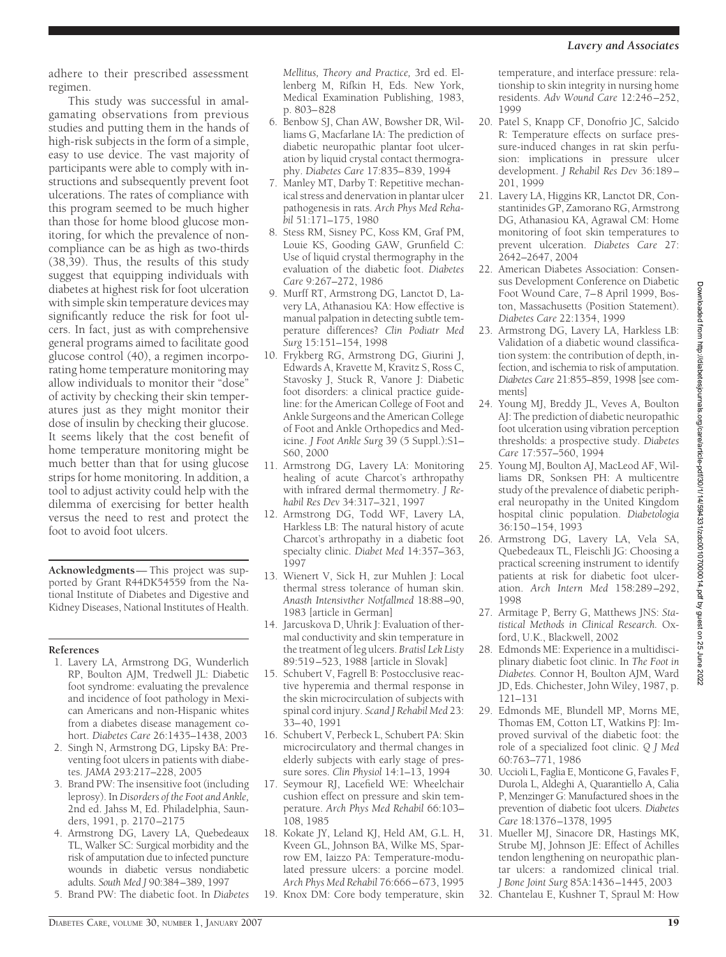adhere to their prescribed assessment regimen.

This study was successful in amalgamating observations from previous studies and putting them in the hands of high-risk subjects in the form of a simple, easy to use device. The vast majority of participants were able to comply with instructions and subsequently prevent foot ulcerations. The rates of compliance with this program seemed to be much higher than those for home blood glucose monitoring, for which the prevalence of noncompliance can be as high as two-thirds (38,39). Thus, the results of this study suggest that equipping individuals with diabetes at highest risk for foot ulceration with simple skin temperature devices may significantly reduce the risk for foot ulcers. In fact, just as with comprehensive general programs aimed to facilitate good glucose control (40), a regimen incorporating home temperature monitoring may allow individuals to monitor their "dose" of activity by checking their skin temperatures just as they might monitor their dose of insulin by checking their glucose. It seems likely that the cost benefit of home temperature monitoring might be much better than that for using glucose strips for home monitoring. In addition, a tool to adjust activity could help with the dilemma of exercising for better health versus the need to rest and protect the foot to avoid foot ulcers.

**Acknowledgments**— This project was supported by Grant R44DK54559 from the National Institute of Diabetes and Digestive and Kidney Diseases, National Institutes of Health.

#### **References**

- 1. Lavery LA, Armstrong DG, Wunderlich RP, Boulton AJM, Tredwell JL: Diabetic foot syndrome: evaluating the prevalence and incidence of foot pathology in Mexican Americans and non-Hispanic whites from a diabetes disease management cohort. *Diabetes Care* 26:1435–1438, 2003
- 2. Singh N, Armstrong DG, Lipsky BA: Preventing foot ulcers in patients with diabetes. *JAMA* 293:217–228, 2005
- 3. Brand PW: The insensitive foot (including leprosy). In *Disorders of the Foot and Ankle,* 2nd ed. Jahss M, Ed. Philadelphia, Saunders, 1991, p. 2170–2175
- 4. Armstrong DG, Lavery LA, Quebedeaux TL, Walker SC: Surgical morbidity and the risk of amputation due to infected puncture wounds in diabetic versus nondiabetic adults. *South Med J* 90:384–389, 1997
- 5. Brand PW: The diabetic foot. In *Diabetes*

*Mellitus, Theory and Practice,* 3rd ed. Ellenberg M, Rifkin H, Eds. New York, Medical Examination Publishing, 1983, p. 803–828

- 6. Benbow SJ, Chan AW, Bowsher DR, Williams G, Macfarlane IA: The prediction of diabetic neuropathic plantar foot ulceration by liquid crystal contact thermography. *Diabetes Care* 17:835–839, 1994
- 7. Manley MT, Darby T: Repetitive mechanical stress and denervation in plantar ulcer pathogenesis in rats. *Arch Phys Med Rehabil* 51:171–175, 1980
- 8. Stess RM, Sisney PC, Koss KM, Graf PM, Louie KS, Gooding GAW, Grunfield C: Use of liquid crystal thermography in the evaluation of the diabetic foot. *Diabetes Care* 9:267–272, 1986
- 9. Murff RT, Armstrong DG, Lanctot D, Lavery LA, Athanasiou KA: How effective is manual palpation in detecting subtle temperature differences? *Clin Podiatr Med Surg* 15:151–154, 1998
- 10. Frykberg RG, Armstrong DG, Giurini J, Edwards A, Kravette M, Kravitz S, Ross C, Stavosky J, Stuck R, Vanore J: Diabetic foot disorders: a clinical practice guideline: for the American College of Foot and Ankle Surgeons and the American College of Foot and Ankle Orthopedics and Medicine. *J Foot Ankle Surg* 39 (5 Suppl.):S1– S60, 2000
- 11. Armstrong DG, Lavery LA: Monitoring healing of acute Charcot's arthropathy with infrared dermal thermometry. *J Rehabil Res Dev* 34:317–321, 1997
- 12. Armstrong DG, Todd WF, Lavery LA, Harkless LB: The natural history of acute Charcot's arthropathy in a diabetic foot specialty clinic. *Diabet Med* 14:357–363, 1997
- 13. Wienert V, Sick H, zur Muhlen J: Local thermal stress tolerance of human skin. *Anasth Intensivther Notfallmed* 18:88–90, 1983 [article in German]
- 14. Jarcuskova D, Uhrik J: Evaluation of thermal conductivity and skin temperature in the treatment of leg ulcers. *Bratisl Lek Listy* 89:519–523, 1988 [article in Slovak]
- 15. Schubert V, Fagrell B: Postocclusive reactive hyperemia and thermal response in the skin microcirculation of subjects with spinal cord injury. *Scand J Rehabil Med* 23: 33–40, 1991
- 16. Schubert V, Perbeck L, Schubert PA: Skin microcirculatory and thermal changes in elderly subjects with early stage of pressure sores. *Clin Physiol* 14:1–13, 1994
- 17. Seymour RJ, Lacefield WE: Wheelchair cushion effect on pressure and skin temperature. *Arch Phys Med Rehabil* 66:103– 108, 1985
- 18. Kokate JY, Leland KJ, Held AM, G.L. H, Kveen GL, Johnson BA, Wilke MS, Sparrow EM, Iaizzo PA: Temperature-modulated pressure ulcers: a porcine model. *Arch Phys Med Rehabil* 76:666–673, 1995
- 19. Knox DM: Core body temperature, skin

temperature, and interface pressure: relationship to skin integrity in nursing home residents. *Adv Wound Care* 12:246–252, 1999

- 20. Patel S, Knapp CF, Donofrio JC, Salcido R: Temperature effects on surface pressure-induced changes in rat skin perfusion: implications in pressure ulcer development. *J Rehabil Res Dev* 36:189– 201, 1999
- 21. Lavery LA, Higgins KR, Lanctot DR, Constantinides GP, Zamorano RG, Armstrong DG, Athanasiou KA, Agrawal CM: Home monitoring of foot skin temperatures to prevent ulceration. *Diabetes Care* 27: 2642–2647, 2004
- 22. American Diabetes Association: Consensus Development Conference on Diabetic Foot Wound Care, 7–8 April 1999, Boston, Massachusetts (Position Statement). *Diabetes Care* 22:1354, 1999
- 23. Armstrong DG, Lavery LA, Harkless LB: Validation of a diabetic wound classification system: the contribution of depth, infection, and ischemia to risk of amputation. *Diabetes Care* 21:855–859, 1998 [see comments]
- 24. Young MJ, Breddy JL, Veves A, Boulton AJ: The prediction of diabetic neuropathic foot ulceration using vibration perception thresholds: a prospective study. *Diabetes Care* 17:557–560, 1994
- 25. Young MJ, Boulton AJ, MacLeod AF, Williams DR, Sonksen PH: A multicentre study of the prevalence of diabetic peripheral neuropathy in the United Kingdom hospital clinic population. *Diabetologia* 36:150–154, 1993
- 26. Armstrong DG, Lavery LA, Vela SA, Quebedeaux TL, Fleischli JG: Choosing a practical screening instrument to identify patients at risk for diabetic foot ulceration. *Arch Intern Med* 158:289–292, 1998
- 27. Armitage P, Berry G, Matthews JNS: *Statistical Methods in Clinical Research.* Oxford, U.K., Blackwell, 2002
- 28. Edmonds ME: Experience in a multidisciplinary diabetic foot clinic. In *The Foot in Diabetes.* Connor H, Boulton AJM, Ward JD, Eds. Chichester, John Wiley, 1987, p. 121–131
- 29. Edmonds ME, Blundell MP, Morns ME, Thomas EM, Cotton LT, Watkins PJ: Improved survival of the diabetic foot: the role of a specialized foot clinic. *Q J Med* 60:763–771, 1986
- 30. Uccioli L, Faglia E, Monticone G, Favales F, Durola L, Aldeghi A, Quarantiello A, Calia P, Menzinger G: Manufactured shoes in the prevention of diabetic foot ulcers. *Diabetes Care* 18:1376–1378, 1995
- 31. Mueller MJ, Sinacore DR, Hastings MK, Strube MJ, Johnson JE: Effect of Achilles tendon lengthening on neuropathic plantar ulcers: a randomized clinical trial. *J Bone Joint Surg* 85A:1436–1445, 2003
- 32. Chantelau E, Kushner T, Spraul M: How